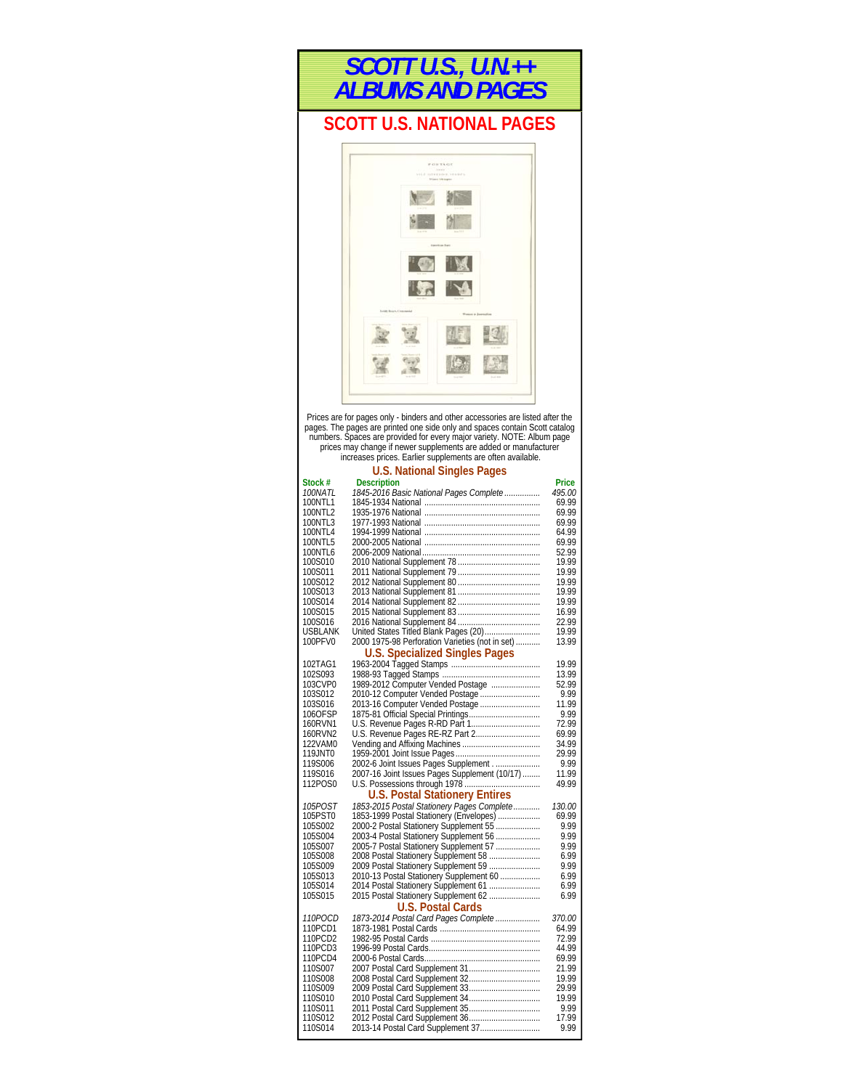

# **SCOTT U.S. NATIONAL PAGES**



Prices are for pages only - binders and other accessories are listed after the pages. The pages are printed one side only and spaces contain Scott catalog<br>numbers. Spaces are provided for every major variety. NOTE: Album page<br>prices may change if newer supplements are added or manufacturer<br>increases

|                    | <b>U.S. National Singles Pages</b>                                             |                |
|--------------------|--------------------------------------------------------------------------------|----------------|
| Stock #            | <b>Description</b>                                                             | Price          |
| <i>100NATL</i>     | 1845-2016 Basic National Pages Complete                                        | 495.00         |
| 100NTI 1           |                                                                                | 69.99          |
| 100NTL2            |                                                                                | 69.99          |
| 100NTL3            |                                                                                | 69.99          |
| 100NTL4            |                                                                                | 64.99          |
| 100NTL5            |                                                                                | 69.99          |
| 100NTL6            |                                                                                | 52.99          |
| 100S010            |                                                                                | 19.99          |
| 100S011            |                                                                                | 19.99          |
| 100S012            |                                                                                | 19.99          |
| 100S013<br>100S014 |                                                                                | 19.99<br>19.99 |
| 100S015            |                                                                                | 16.99          |
| 100S016            |                                                                                | 22.99          |
| USBLANK            | United States Titled Blank Pages (20)                                          | 19.99          |
| 100PFV0            | 2000 1975-98 Perforation Varieties (not in set)                                | 13.99          |
|                    | <b>U.S. Specialized Singles Pages</b>                                          |                |
| 102TAG1            |                                                                                | 19.99          |
| 102S093            |                                                                                | 13.99          |
| 103CVP0            | 1989-2012 Computer Vended Postage                                              | 52.99          |
| 103S012            | 2010-12 Computer Vended Postage                                                | 9.99           |
| 103S016            | 2013-16 Computer Vended Postage                                                | 11.99          |
| 106OFSP            |                                                                                | 9.99           |
| 160RVN1            |                                                                                | 72.99          |
| 160RVN2            | U.S. Revenue Pages RE-RZ Part 2                                                | 69.99          |
| 122VAM0            |                                                                                | 34.99          |
| 119JNT0            |                                                                                | 29.99          |
| 119S006            | 2002-6 Joint Issues Pages Supplement                                           | 9.99           |
| 119S016            | 2007-16 Joint Issues Pages Supplement (10/17)                                  | 11.99          |
| 112POS0            |                                                                                | 49.99          |
|                    | <b>U.S. Postal Stationery Entires</b>                                          |                |
| <i>105POST</i>     | 1853-2015 Postal Stationery Pages Complete                                     | <i>130.00</i>  |
| 105PST0            | 1853-1999 Postal Stationery (Envelopes)                                        | 69.99          |
| 105S002            | 2000-2 Postal Stationery Supplement 55                                         | 9.99           |
| 105S004            | 2003-4 Postal Stationery Supplement 56                                         | 9.99           |
| 105S007            | 2005-7 Postal Stationery Supplement 57<br>2008 Postal Stationery Supplement 58 | 9.99           |
| 105S008            |                                                                                | 6.99           |
| 105S009            | 2009 Postal Stationery Supplement 59                                           | 9.99           |
| 105S013            | 2010-13 Postal Stationery Supplement 60                                        | 6.99           |
| 105S014            | 2014 Postal Stationery Supplement 61                                           | 6.99           |
| 105S015            | 2015 Postal Stationery Supplement 62                                           | 6.99           |
|                    | <b>U.S. Postal Cards</b>                                                       |                |
| <i>110POCD</i>     | 1873-2014 Postal Card Pages Complete                                           | <i>370.00</i>  |
| 110PCD1            |                                                                                | 64.99          |
| 110PCD2            |                                                                                | 72.99          |
| 110PCD3            |                                                                                | 44.99          |
| 110PCD4<br>110S007 |                                                                                | 69.99<br>21.99 |
| 110S008            |                                                                                | 19.99          |
| 110S009            |                                                                                | 29.99          |
| 110S010            | 2010 Postal Card Supplement 34                                                 | 19.99          |
| 110S011            | 2011 Postal Card Supplement 35                                                 | 9.99           |
| 110S012            | 2012 Postal Card Supplement 36                                                 | 17.99          |
| 110S014            | 2013-14 Postal Card Supplement 37                                              | 9.99           |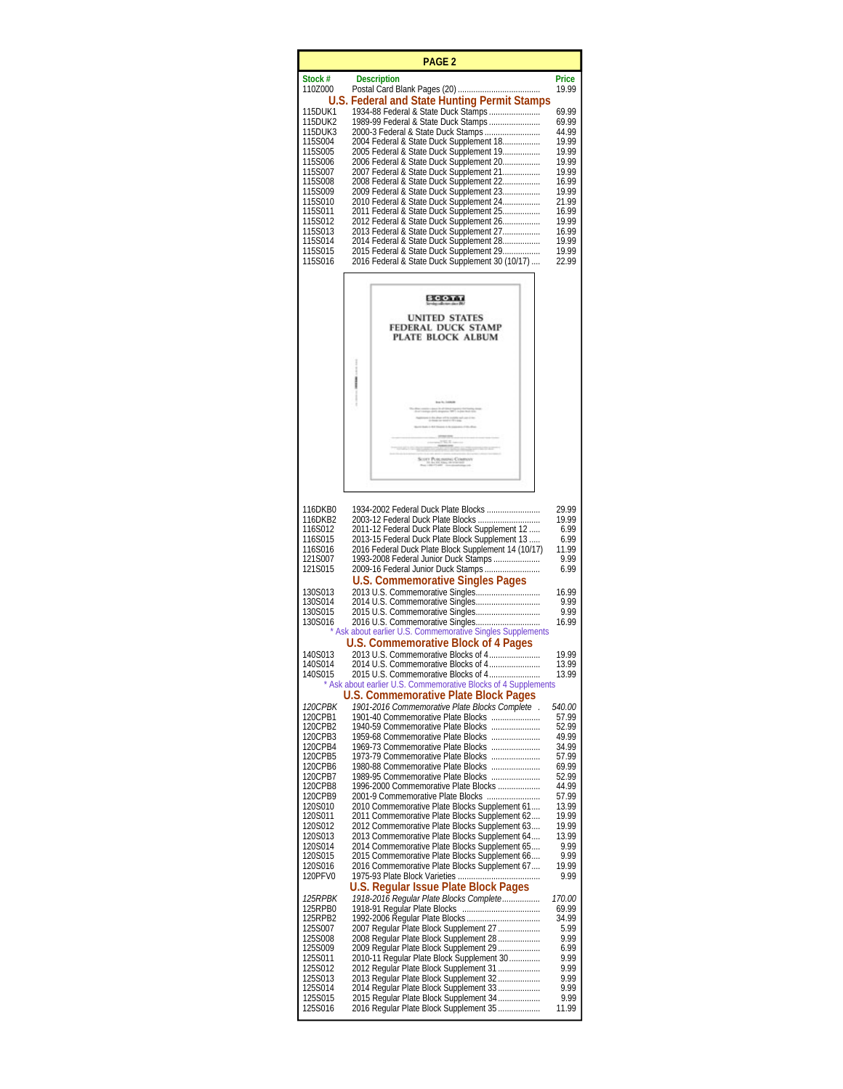|                    | <b>PAGE 2</b>                                                                                          |                 |
|--------------------|--------------------------------------------------------------------------------------------------------|-----------------|
| Stock #<br>110Z000 | <b>Description</b>                                                                                     | Price<br>19.99  |
| 115DUK1            | U.S. Federal and State Hunting Permit Stamps<br>1934-88 Federal & State Duck Stamps                    | 69.99           |
| 115DUK2            | 1989-99 Federal & State Duck Stamps                                                                    | 69.99           |
| 115DUK3<br>115S004 | 2000-3 Federal & State Duck Stamps<br>2004 Federal & State Duck Supplement 18                          | 44.99<br>19.99  |
| 115S005<br>115S006 | 2005 Federal & State Duck Supplement 19<br>2006 Federal & State Duck Supplement 20                     | 19.99<br>19.99  |
| 115S007<br>115S008 | 2007 Federal & State Duck Supplement 21<br>2008 Federal & State Duck Supplement 22                     | 19.99<br>16.99  |
| 115S009<br>115S010 | 2009 Federal & State Duck Supplement 23<br>2010 Federal & State Duck Supplement 24                     | 19.99<br>21.99  |
| 115S011<br>115S012 | 2011 Federal & State Duck Supplement 25                                                                | 16.99<br>19.99  |
| 115S013            | 2012 Federal & State Duck Supplement 26<br>2013 Federal & State Duck Supplement 27                     | 16.99           |
| 115S014<br>115S015 | 2014 Federal & State Duck Supplement 28<br>2015 Federal & State Duck Supplement 29                     | 19.99<br>19.99  |
| 115S016            | 2016 Federal & State Duck Supplement 30 (10/17)                                                        | 22.99           |
|                    | <b>SCOTT</b>                                                                                           |                 |
|                    | <b>UNITED STATES</b>                                                                                   |                 |
|                    | <b>FEDERAL DUCK STAMP</b><br>PLATE BLOCK ALBUM                                                         |                 |
|                    |                                                                                                        |                 |
|                    |                                                                                                        |                 |
|                    |                                                                                                        |                 |
|                    |                                                                                                        |                 |
|                    |                                                                                                        |                 |
|                    |                                                                                                        |                 |
|                    | 17 PLOLINGING COR                                                                                      |                 |
|                    |                                                                                                        |                 |
| 116DKB0            | 1934-2002 Federal Duck Plate Blocks                                                                    | 29.99           |
| 116DKB2<br>116S012 | 2003-12 Federal Duck Plate Blocks<br>2011-12 Federal Duck Plate Block Supplement 12                    | 19.99<br>6.99   |
| 116S015<br>116S016 | 2013-15 Federal Duck Plate Block Supplement 13<br>2016 Federal Duck Plate Block Supplement 14 (10/17)  | 6.99<br>11.99   |
| 121S007            | 1993-2008 Federal Junior Duck Stamps                                                                   | 9.99            |
| 121S015            | 2009-16 Federal Junior Duck Stamps<br><b>U.S. Commemorative Singles Pages</b>                          | 6.99            |
| 130S013<br>130S014 | 2013 U.S. Commemorative Singles                                                                        | 16.99<br>9.99   |
| 130S015<br>130S016 | 2016 U.S. Commemorative Singles                                                                        | 9.99<br>16.99   |
|                    | Ask about earlier U.S. Commemorative Singles Supplements<br>U.S. Commemorative Block of 4 Pages        |                 |
| 140S013<br>140S014 |                                                                                                        | 19.99           |
| 140S015            | 2014 U.S. Commemorative Blocks of 4<br>2015 U.S. Commemorative Blocks of 4                             | 13.99<br>13.99  |
|                    | * Ask about earlier U.S. Commemorative Blocks of 4 Supplements<br>U.S. Commemorative Plate Block Pages |                 |
| 120CPBK<br>120CPB1 | 1901-2016 Commemorative Plate Blocks Complete.<br>1901-40 Commemorative Plate Blocks                   | 540.00<br>57.99 |
| 120CPB2<br>120CPB3 | 1940-59 Commemorative Plate Blocks<br>1959-68 Commemorative Plate Blocks                               | 52.99<br>49.99  |
| 120CPB4<br>120CPB5 | 1969-73 Commemorative Plate Blocks<br>1973-79 Commemorative Plate Blocks                               | 34.99<br>57.99  |
| 120CPB6<br>120CPB7 | 1980-88 Commemorative Plate Blocks<br>1989-95 Commemorative Plate Blocks                               | 69.99<br>52.99  |
| 120CPB8<br>120CPB9 | 1996-2000 Commemorative Plate Blocks<br>2001-9 Commemorative Plate Blocks                              | 44.99<br>57.99  |
| 120S010            | 2010 Commemorative Plate Blocks Supplement 61                                                          | 13.99           |
| 120S011<br>120S012 | 2011 Commemorative Plate Blocks Supplement 62<br>2012 Commemorative Plate Blocks Supplement 63         | 19.99<br>19.99  |
| 120S013<br>120S014 | 2013 Commemorative Plate Blocks Supplement 64<br>2014 Commemorative Plate Blocks Supplement 65         | 13.99<br>9.99   |
| 120S015<br>120S016 | 2015 Commemorative Plate Blocks Supplement 66<br>2016 Commemorative Plate Blocks Supplement 67         | 9.99<br>19.99   |
| 120PFV0            | U.S. Regular Issue Plate Block Pages                                                                   | 9.99            |
| <i>125RPBK</i>     | 1918-2016 Regular Plate Blocks Complete                                                                | <i>170.00</i>   |
| 125RPB0<br>125RPB2 |                                                                                                        | 69.99<br>34.99  |
| 125S007<br>125S008 | 2007 Regular Plate Block Supplement 27<br>2008 Regular Plate Block Supplement 28                       | 5.99<br>9.99    |
| 125S009<br>125S011 | 2009 Regular Plate Block Supplement 29<br>2010-11 Regular Plate Block Supplement 30                    | 6.99<br>9.99    |
| 125S012<br>125S013 | 2012 Regular Plate Block Supplement 31<br>2013 Regular Plate Block Supplement 32                       | 9.99<br>9.99    |
| 125S014<br>125S015 | 2014 Regular Plate Block Supplement 33<br>2015 Regular Plate Block Supplement 34                       | 9.99<br>9.99    |
| 125S016            | 2016 Regular Plate Block Supplement 35                                                                 | 11.99           |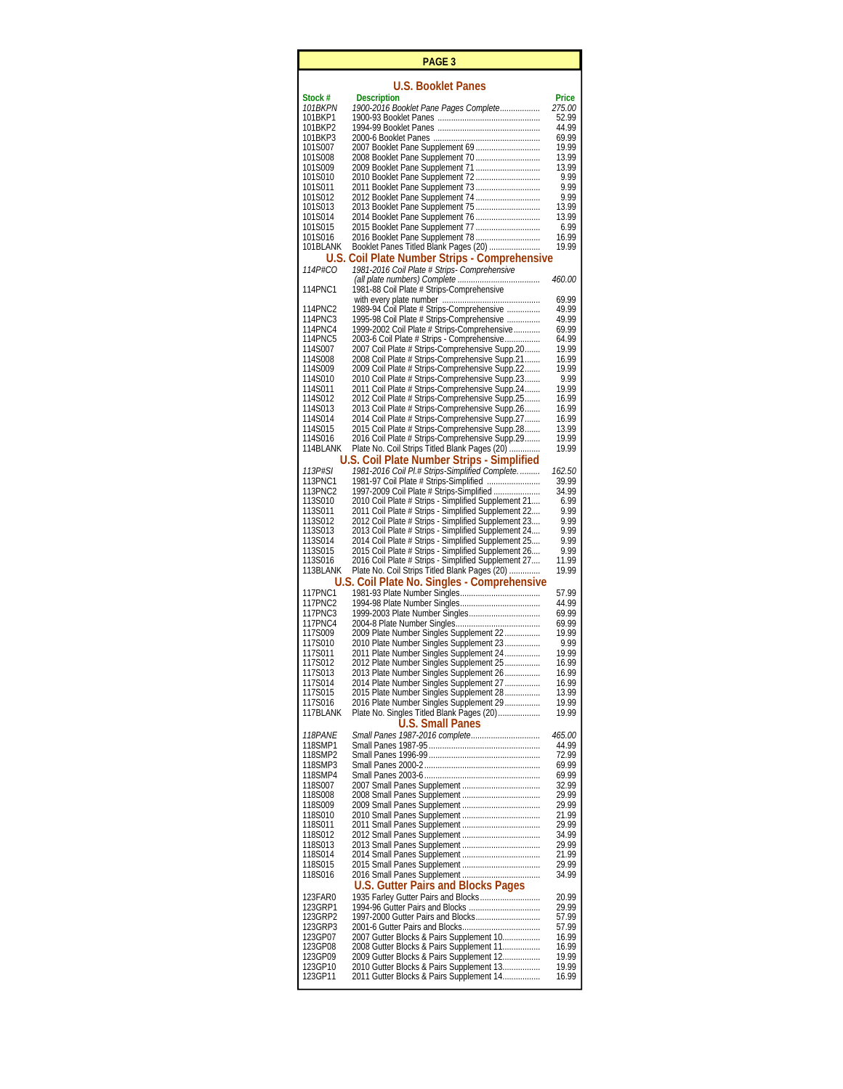|                       | PAGE 3                                                                                                     |                |
|-----------------------|------------------------------------------------------------------------------------------------------------|----------------|
|                       | <b>U.S. Booklet Panes</b>                                                                                  |                |
| Stock #               | <b>Description</b>                                                                                         | Price          |
| <i>101BKPN</i>        | 1900-2016 Booklet Pane Pages Complete                                                                      | <i>275.00</i>  |
| 101BKP1<br>101BKP2    |                                                                                                            | 52.99<br>44.99 |
| 101BKP3               |                                                                                                            | 69.99          |
| 101S007               | 2007 Booklet Pane Supplement 69                                                                            | 19.99          |
| 101S008<br>101S009    | 2008 Booklet Pane Supplement 70                                                                            | 13.99<br>13.99 |
| 101S010               | 2010 Booklet Pane Supplement 72                                                                            | 9.99           |
| 101S011               | 2011 Booklet Pane Supplement 73                                                                            | 9.99           |
| 101S012               | 2012 Booklet Pane Supplement 74                                                                            | 9.99           |
| 101S013<br>101S014    | 2013 Booklet Pane Supplement 75                                                                            | 13.99<br>13.99 |
| 101S015               | 2015 Booklet Pane Supplement 77                                                                            | 6.99           |
| 101S016               | <u>2016 Booklet Pane Supplement 78</u>                                                                     | 16.99          |
| 101BLANK              | Booklet Panes Titled Blank Pages (20)<br>U.S. Coil Plate Number Strips - Comprehensive                     | 19.99          |
| <i>114P#CO</i>        | 1981-2016 Coil Plate # Strips- Comprehensive                                                               |                |
|                       |                                                                                                            | <i>460.00</i>  |
| 114PNC1               | 1981-88 Coil Plate # Strips-Comprehensive                                                                  | 69.99          |
| 114PNC2               | 1989-94 Coil Plate # Strips-Comprehensive                                                                  | 49.99          |
| 114PNC3               | 1995-98 Coil Plate # Strips-Comprehensive                                                                  | 49.99          |
| 114PNC4               | 1999-2002 Coil Plate # Strips-Comprehensive                                                                | 69.99          |
| 114PNC5<br>114S007    | 2003-6 Coil Plate # Strips - Comprehensive<br>2007 Coil Plate # Strips-Comprehensive Supp.20               | 64.99<br>19.99 |
| 114S008               | 2008 Coil Plate # Strips-Comprehensive Supp.21                                                             | 16.99          |
| 114S009               | 2009 Coil Plate # Strips-Comprehensive Supp.22                                                             | 19.99          |
| 114S010<br>114S011    | 2010 Coil Plate # Strips-Comprehensive Supp.23                                                             | 9.99<br>19.99  |
| 114S012               | 2011 Coil Plate # Strips-Comprehensive Supp.24<br>2012 Coil Plate # Strips-Comprehensive Supp.25           | 16.99          |
| 114S013               | 2013 Coil Plate # Strips-Comprehensive Supp.26                                                             | 16.99          |
| 114S014               | 2014 Coil Plate # Strips-Comprehensive Supp.27                                                             | 16.99          |
| 114S015<br>114S016    | 2015 Coil Plate # Strips-Comprehensive Supp.28<br>2016 Coil Plate # Strips-Comprehensive Supp.29           | 13.99<br>19.99 |
| 114BLANK              | Plate No. Coil Strips Titled Blank Pages (20)                                                              | 19.99          |
|                       | U.S. Coil Plate Number Strips - Simplified                                                                 |                |
| 113P#SI               | 1981-2016 Coil Pl.# Strips-Simplified Complete.                                                            | 162.50         |
| 113PNC1<br>113PNC2    | 1981-97 Coil Plate # Strips-Simplified<br>1997-2009 Coil Plate # Strips-Simplified                         | 39.99<br>34.99 |
| 113S010               | 2010 Coil Plate # Strips - Simplified Supplement 21                                                        | 6.99           |
| 113S011               | 2011 Coil Plate # Strips - Simplified Supplement 22                                                        | 9.99           |
| 113S012               | 2012 Coil Plate # Strips - Simplified Supplement 23                                                        | 9.99           |
| 113S013<br>113S014    | 2013 Coil Plate # Strips - Simplified Supplement 24<br>2014 Coil Plate # Strips - Simplified Supplement 25 | 9.99<br>9.99   |
| 113S015               | 2015 Coil Plate # Strips - Simplified Supplement 26                                                        | 9.99           |
| 113S016               | 2016 Coil Plate # Strips - Simplified Supplement 27                                                        | 11.99          |
| 113BLANK              | Plate No. Coil Strips Titled Blank Pages (20)                                                              | 19.99          |
| 117PNC1               | U.S. Coil Plate No. Singles - Comprehensive                                                                | 57.99          |
| 117PNC2               |                                                                                                            | 44.99          |
| 117PNC3               | 1999-2003 Plate Number Singles                                                                             | 69.99          |
| 117PNC4<br>117S009    | 2009 Plate Number Singles Supplement 22                                                                    | 69.99<br>19.99 |
| 117S010               | 2010 Plate Number Singles Supplement 23                                                                    | 9.99           |
| 117S011               | 2011 Plate Number Singles Supplement 24                                                                    | 19.99          |
| 117S012               | 2012 Plate Number Singles Supplement 25                                                                    | 16.99          |
| 117S013<br>117S014    | 2013 Plate Number Singles Supplement 26<br>2014 Plate Number Singles Supplement 27                         | 16.99<br>16.99 |
| 117S015               | 2015 Plate Number Singles Supplement 28                                                                    | 13.99          |
| 117S016               | 2016 Plate Number Singles Supplement 29                                                                    | 19.99          |
| 117BLANK              | Plate No. Singles Titled Blank Pages (20)<br><b>U.S. Small Panes</b>                                       | 19.99          |
| <i><b>118PANE</b></i> | Small Panes 1987-2016 complete                                                                             | 465.00         |
| 118SMP1               |                                                                                                            | 44.99          |
| 118SMP2               |                                                                                                            | 72.99          |
| 118SMP3<br>118SMP4    |                                                                                                            | 69.99<br>69.99 |
| 118S007               |                                                                                                            | 32.99          |
| 118S008               |                                                                                                            | 29.99          |
| 118S009<br>118S010    |                                                                                                            | 29.99<br>21.99 |
| 118S011               |                                                                                                            | 29.99          |
| 118S012               |                                                                                                            | 34.99          |
| 118S013               |                                                                                                            | 29.99          |
| 118S014<br>118S015    |                                                                                                            | 21.99<br>29.99 |
| 118S016               |                                                                                                            | 34.99          |
|                       | <b>U.S. Gutter Pairs and Blocks Pages</b>                                                                  |                |
| 123FAR0               |                                                                                                            | 20.99          |
| 123GRP1<br>123GRP2    | 1994-96 Gutter Pairs and Blocks<br>1997-2000 Gutter Pairs and Blocks                                       | 29.99<br>57.99 |
| 123GRP3               |                                                                                                            | 57.99          |
| 123GP07               | 2007 Gutter Blocks & Pairs Supplement 10                                                                   | 16.99          |
| 123GP08<br>123GP09    | 2008 Gutter Blocks & Pairs Supplement 11<br>2009 Gutter Blocks & Pairs Supplement 12                       | 16.99<br>19.99 |
| 123GP10               | 2010 Gutter Blocks & Pairs Supplement 13                                                                   | 19.99          |
| 123GP11               | 2011 Gutter Blocks & Pairs Supplement 14                                                                   | 16.99          |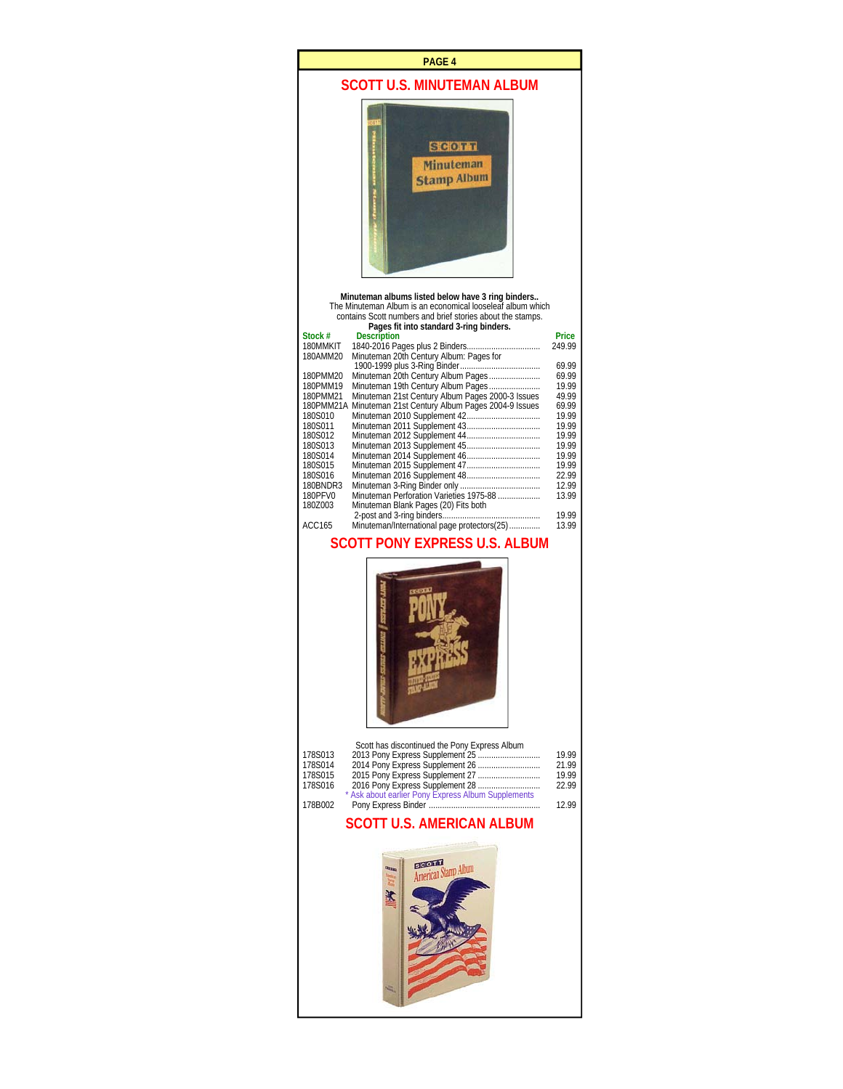#### **PAGE 4**

# **SCOTT U.S. MINUTEMAN ALBUM**



**Minuteman albums listed below have 3 ring binders..**  The Minuteman Album is an economical looseleaf album which contains Scott numbers and brief stories about the stamps.

|           | Pages fit into standard 3-ring binders.          |        |
|-----------|--------------------------------------------------|--------|
| Stock #   | <b>Description</b>                               | Price  |
| 180MMKIT  | 1840-2016 Pages plus 2 Binders                   | 249.99 |
| 180AMM20  | Minuteman 20th Century Album: Pages for          |        |
|           |                                                  | 69.99  |
| 180PMM20  | Minuteman 20th Century Album Pages               | 69.99  |
| 180PMM19  | Minuteman 19th Century Album Pages               | 19.99  |
| 180PMM21  | Minuteman 21st Century Album Pages 2000-3 Issues | 49.99  |
| 180PMM21A | Minuteman 21st Century Album Pages 2004-9 Issues | 69.99  |
| 180S010   |                                                  | 19.99  |
| 180S011   | Minuteman 2011 Supplement 43                     | 19.99  |
| 180S012   |                                                  | 19.99  |
| 180S013   |                                                  | 19.99  |
| 180S014   | Minuteman 2014 Supplement 46                     | 19.99  |
| 180S015   |                                                  | 19.99  |
| 180S016   | Minuteman 2016 Supplement 48                     | 22.99  |
| 180BNDR3  |                                                  | 12.99  |
| 180PFV0   | Minuteman Perforation Varieties 1975-88          | 13.99  |
| 1807003   | Minuteman Blank Pages (20) Fits both             |        |
|           |                                                  | 19.99  |
| ACC165    | Minuteman/International page protectors(25)      | 13.99  |
|           |                                                  |        |

# **SCOTT PONY EXPRESS U.S. ALBUM**



|         | Scott has discontinued the Pony Express Album      |       |
|---------|----------------------------------------------------|-------|
| 178S013 |                                                    | 19 99 |
| 178S014 | 2014 Pony Express Supplement 26                    | 21 99 |
| 178S015 |                                                    | 19 99 |
| 178S016 | 2016 Pony Express Supplement 28                    | 22.99 |
|         | * Ask about earlier Pony Express Album Supplements |       |
| 178B002 |                                                    | 12 99 |
|         |                                                    |       |

### **SCOTT U.S. AMERICAN ALBUM**

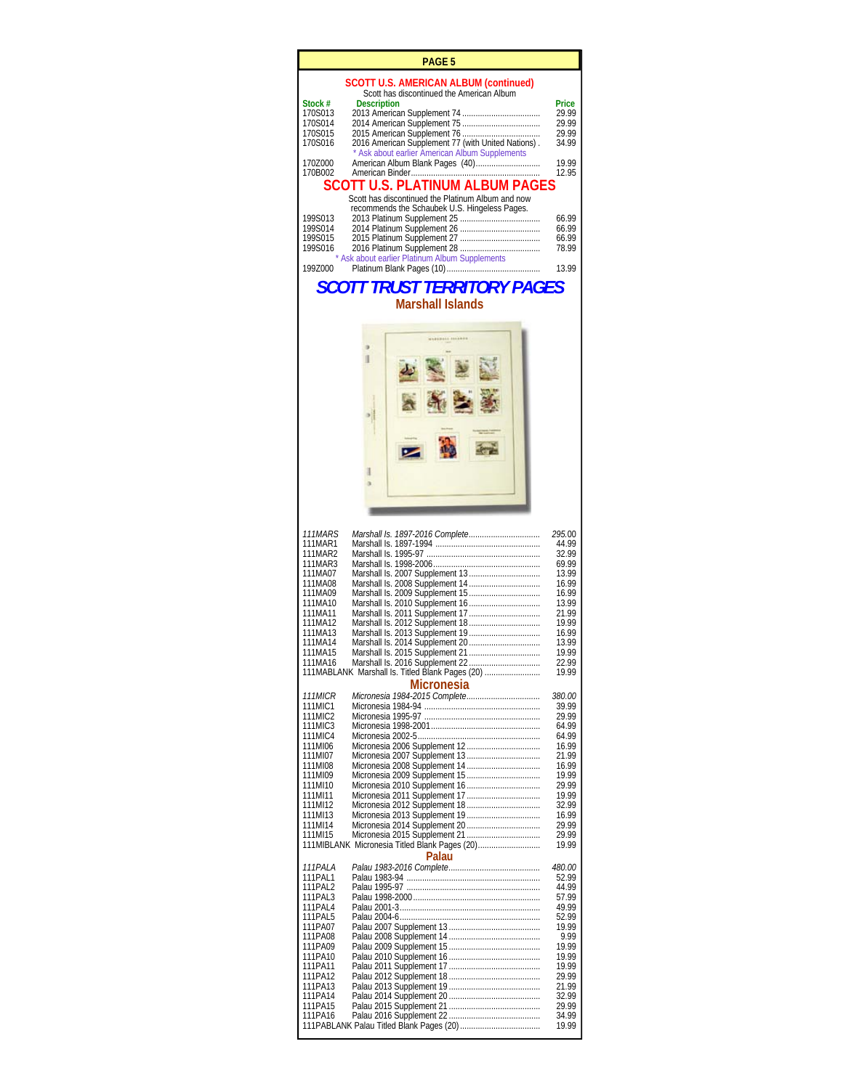|                                        | PAGE 5                                                                                               |                |
|----------------------------------------|------------------------------------------------------------------------------------------------------|----------------|
|                                        | <b>SCOTT U.S. AMERICAN ALBUM (continued)</b><br>Scott has discontinued the American Album            |                |
| Stock #<br>170S013                     | <b>Description</b>                                                                                   | Price<br>29.99 |
| 170S014                                |                                                                                                      | 29.99          |
| 170S015<br>170S016                     | 2016 American Supplement 77 (with United Nations).<br>* Ask about earlier American Album Supplements | 29.99<br>34.99 |
| 170Z000<br>170B002                     | American Album Blank Pages (40)                                                                      | 19.99<br>12.95 |
| <b>SCOTT U.S. PLATINUM ALBUM PAGES</b> |                                                                                                      |                |
|                                        | Scott has discontinued the Platinum Album and now<br>recommends the Schaubek U.S. Hingeless Pages.   |                |
| 199S013                                |                                                                                                      | 66.99          |
| 199S014<br>199S015                     |                                                                                                      | 66.99<br>66.99 |
| 199S016                                | * Ask about earlier Platinum Album Supplements                                                       | 78.99          |
| 1997000                                |                                                                                                      | 13.99          |

 $P_{\text{A}}$ 

# *SCOTT TRUST TERRITORY PAGES*  **Marshall Islands**



| <i><b>111MARS</b></i>                                  |                                                 | 295.00         |
|--------------------------------------------------------|-------------------------------------------------|----------------|
| 111MAR1                                                |                                                 | 44.99          |
| 111MAR2                                                |                                                 | 32.99          |
| 111MAR3                                                |                                                 | 69.99          |
| 111MA07                                                |                                                 | 13.99          |
| 111MA08                                                |                                                 | 16.99          |
| 111MA09                                                |                                                 | 16.99          |
| 111MA10                                                |                                                 | 13.99          |
| 111MA11                                                |                                                 | 21.99          |
| 111MA12                                                |                                                 | 19.99          |
| 111MA13                                                |                                                 | 16.99          |
| 111MA14                                                |                                                 | 13.99          |
| 111MA15                                                |                                                 | 19.99          |
| 111MA16                                                |                                                 | 22.99          |
|                                                        | 111MABLANK Marshall Is. Titled Blank Pages (20) | 19.99          |
|                                                        | <b>Micronesia</b>                               |                |
| <b>111MICR</b>                                         |                                                 | 380.00         |
| 111MIC1                                                |                                                 | 39.99          |
|                                                        |                                                 |                |
| 111MIC2                                                |                                                 | 29.99          |
| 111MIC3                                                |                                                 | 64.99<br>64.99 |
| 111MIC4                                                |                                                 | 16.99          |
| 111MI06                                                |                                                 |                |
| 111MI07                                                |                                                 | 21.99          |
| 111MI08                                                |                                                 | 16.99          |
| 111MI09                                                |                                                 | 19.99          |
| 111MI10                                                | Micronesia 2010 Supplement 16                   | 29.99          |
| 111MI11                                                |                                                 | 19.99          |
| 111MI12                                                |                                                 | 32.99          |
| 111MI13                                                |                                                 | 16.99          |
| 111MI14                                                |                                                 | 29.99          |
| 111MI15                                                |                                                 | 29.99          |
| 111MIBLANK Micronesia Titled Blank Pages (20)<br>19.99 |                                                 |                |
|                                                        | Palau                                           |                |
| <i>111PALA</i>                                         |                                                 | <i>480.00</i>  |
| 111PAL1                                                |                                                 | 52.99          |
| 111PAL2                                                |                                                 | 44.99          |
| 111PAI 3                                               |                                                 | 57.99          |
| 111PAI 4                                               |                                                 | 49.99          |
| 111PAL5                                                |                                                 | 52.99          |
| 111PA07                                                |                                                 | 19.99          |
| 111PA08                                                |                                                 | 9.99           |
| 111PA09                                                |                                                 | 19.99          |
| 111PA10                                                |                                                 | 19.99          |
| 111PA11                                                |                                                 | 19.99          |
| 111PA12                                                |                                                 | 29.99          |
| 111PA13                                                |                                                 | 21.99          |
| 111PA14                                                |                                                 | 32.99          |
| 111PA15                                                |                                                 | 29.99          |
| 111PA16                                                |                                                 | 34.99          |
|                                                        |                                                 | 19.99          |
|                                                        |                                                 |                |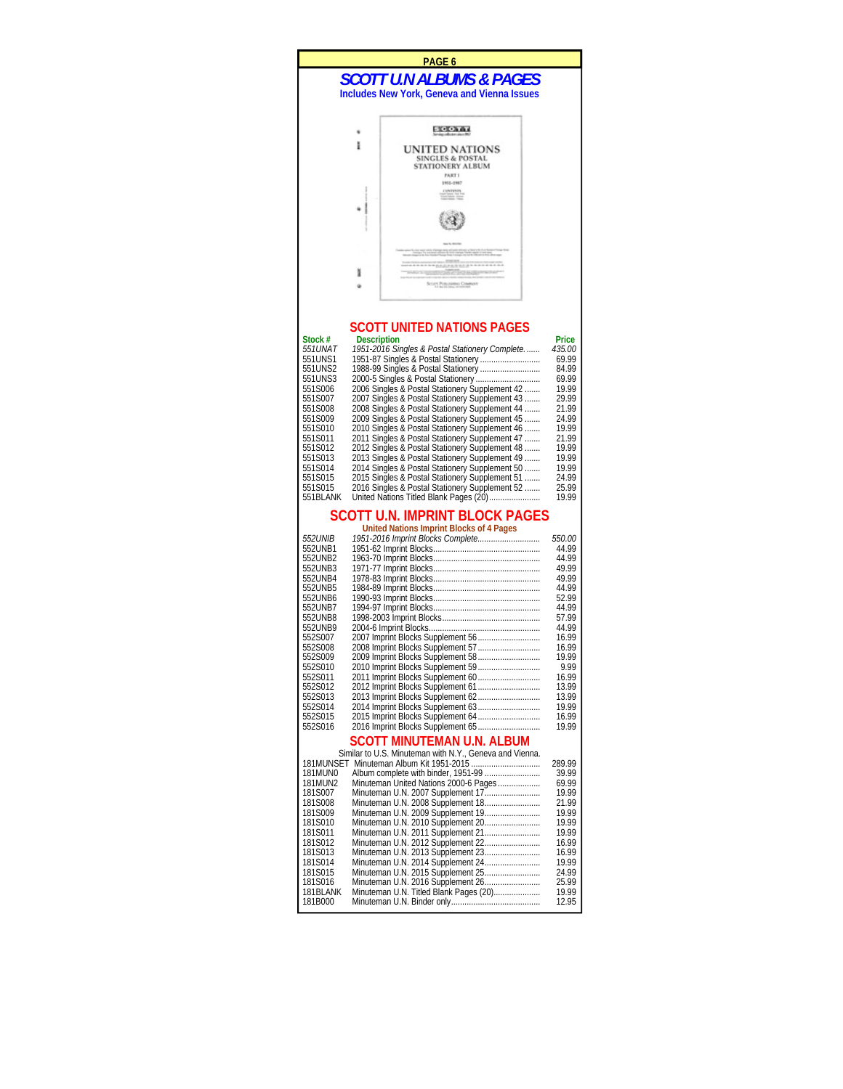#### *SCOTT U.N ALBUMS & PAGES*  **Includes New York, Geneva and Vienna Issues PAGE 6**



## **SCOTT UNITED NATIONS PAGES**

| Stock #   | <b>Description</b>                             | Price  |
|-----------|------------------------------------------------|--------|
| 551UNAT   | 1951-2016 Singles & Postal Stationery Complete | 435.00 |
| 551UNS1   | 1951-87 Singles & Postal Stationery            | 69.99  |
| 551UNS2   |                                                | 84.99  |
| 551UNS3   |                                                | 69.99  |
| 551S006   | 2006 Singles & Postal Stationery Supplement 42 | 19.99  |
| 551S007   | 2007 Singles & Postal Stationery Supplement 43 | 29 99  |
| 551S008   | 2008 Singles & Postal Stationery Supplement 44 | 21.99  |
| 551S009   | 2009 Singles & Postal Stationery Supplement 45 | 24.99  |
| 551S010   | 2010 Singles & Postal Stationery Supplement 46 | 19.99  |
| 551S011   | 2011 Singles & Postal Stationery Supplement 47 | 21.99  |
| 551S012   | 2012 Singles & Postal Stationery Supplement 48 | 19 99  |
| 551S013   | 2013 Singles & Postal Stationery Supplement 49 | 19.99  |
| 551S014   | 2014 Singles & Postal Stationery Supplement 50 | 19.99  |
| 551S015   | 2015 Singles & Postal Stationery Supplement 51 | 24.99  |
| 551S015   | 2016 Singles & Postal Stationery Supplement 52 | 25.99  |
| 551BI ANK | United Nations Titled Blank Pages (20)         | 19 99  |

#### **SCOTT U.N. IMPRINT BLOCK PAGES**

**United Nations Imprint Blocks of 4 Pages** 

| <i>552UNIB</i> | 1951-2016 Imprint Blocks Complete | 550.00 |
|----------------|-----------------------------------|--------|
| 552UNB1        | 1951-62 Imprint Blocks            | 44.99  |
| 552UNB2        |                                   | 44.99  |
| 552UNB3        |                                   | 49.99  |
| 552UNB4        |                                   | 49.99  |
| 552UNB5        |                                   | 44.99  |
| 552UNB6        |                                   | 52.99  |
| 552UNB7        |                                   | 44.99  |
| 552UNB8        |                                   | 57.99  |
| 552UNB9        |                                   | 44.99  |
| 552S007        | 2007 Imprint Blocks Supplement 56 | 16.99  |
| 552S008        |                                   | 16.99  |
| 552S009        | 2009 Imprint Blocks Supplement 58 | 19.99  |
| 552S010        |                                   | 9.99   |
| 552S011        |                                   | 16.99  |
| 552S012        |                                   | 13.99  |
| 552S013        |                                   | 13.99  |
| 552S014        |                                   | 19.99  |
| 552S015        | 2015 Imprint Blocks Supplement 64 | 16.99  |
| 552S016        | 2016 Imprint Blocks Supplement 65 | 19.99  |

#### **SCOTT MINUTEMAN U.N. ALBUM**

|           | Similar to U.S. Minuteman with N.Y., Geneva and Vienna. |        |
|-----------|---------------------------------------------------------|--------|
| 181MUNSFT |                                                         | 289.99 |
| 181MUNO   |                                                         | 39 99  |
| 181MUN2   | Minuteman United Nations 2000-6 Pages                   | 69.99  |
| 181S007   | Minuteman U.N. 2007 Supplement 17                       | 19.99  |
| 181S008   | Minuteman U.N. 2008 Supplement 18                       | 21.99  |
| 181S009   | Minuteman U.N. 2009 Supplement 19                       | 19 99  |
| 181S010   | Minuteman U.N. 2010 Supplement 20                       | 19.99  |
| 181S011   | Minuteman U.N. 2011 Supplement 21                       | 19.99  |
| 181S012   | Minuteman U.N. 2012 Supplement 22                       | 16.99  |
| 181S013   | Minuteman U.N. 2013 Supplement 23                       | 16.99  |
| 181S014   | Minuteman U.N. 2014 Supplement 24                       | 19 99  |
| 181S015   | Minuteman U.N. 2015 Supplement 25                       | 24.99  |
| 181S016   | Minuteman U.N. 2016 Supplement 26                       | 25.99  |
| 181BLANK  | Minuteman U.N. Titled Blank Pages (20)                  | 19.99  |
| 181B000   |                                                         | 12.95  |